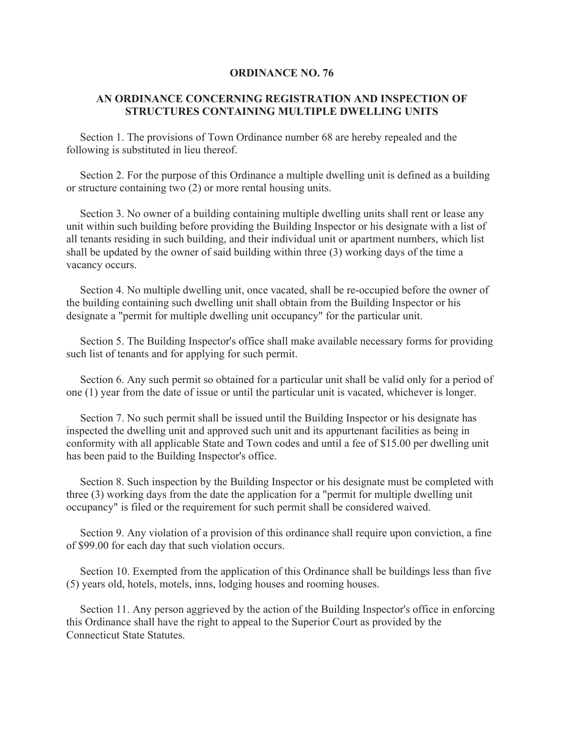## **ORDINANCE NO. 76**

## **AN ORDINANCE CONCERNING REGISTRATION AND INSPECTION OF STRUCTURES CONTAINING MULTIPLE DWELLING UNITS**

 Section 1. The provisions of Town Ordinance number 68 are hereby repealed and the following is substituted in lieu thereof.

 Section 2. For the purpose of this Ordinance a multiple dwelling unit is defined as a building or structure containing two (2) or more rental housing units.

 Section 3. No owner of a building containing multiple dwelling units shall rent or lease any unit within such building before providing the Building Inspector or his designate with a list of all tenants residing in such building, and their individual unit or apartment numbers, which list shall be updated by the owner of said building within three (3) working days of the time a vacancy occurs.

 Section 4. No multiple dwelling unit, once vacated, shall be re-occupied before the owner of the building containing such dwelling unit shall obtain from the Building Inspector or his designate a "permit for multiple dwelling unit occupancy" for the particular unit.

 Section 5. The Building Inspector's office shall make available necessary forms for providing such list of tenants and for applying for such permit.

 Section 6. Any such permit so obtained for a particular unit shall be valid only for a period of one (1) year from the date of issue or until the particular unit is vacated, whichever is longer.

 Section 7. No such permit shall be issued until the Building Inspector or his designate has inspected the dwelling unit and approved such unit and its appurtenant facilities as being in conformity with all applicable State and Town codes and until a fee of \$15.00 per dwelling unit has been paid to the Building Inspector's office.

 Section 8. Such inspection by the Building Inspector or his designate must be completed with three (3) working days from the date the application for a "permit for multiple dwelling unit occupancy" is filed or the requirement for such permit shall be considered waived.

 Section 9. Any violation of a provision of this ordinance shall require upon conviction, a fine of \$99.00 for each day that such violation occurs.

 Section 10. Exempted from the application of this Ordinance shall be buildings less than five (5) years old, hotels, motels, inns, lodging houses and rooming houses.

 Section 11. Any person aggrieved by the action of the Building Inspector's office in enforcing this Ordinance shall have the right to appeal to the Superior Court as provided by the Connecticut State Statutes.